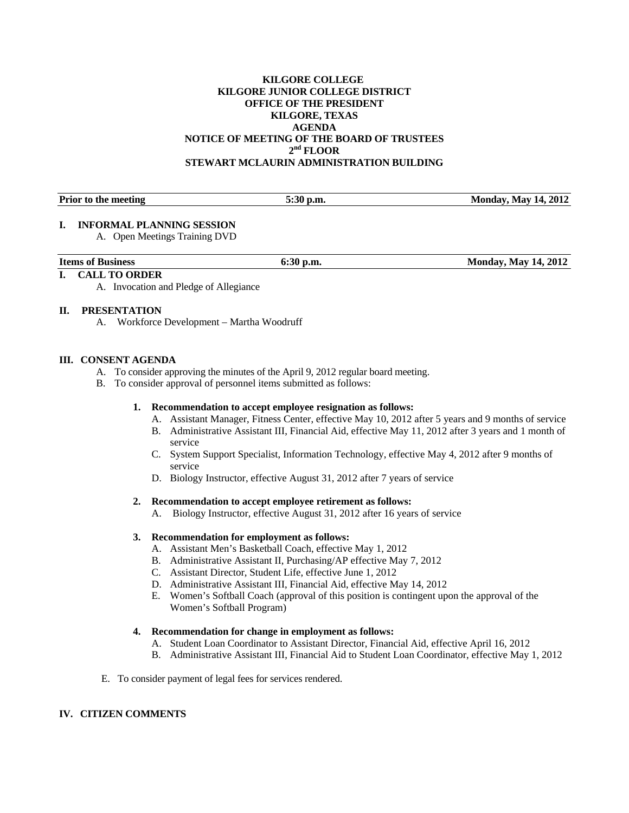# **KILGORE COLLEGE KILGORE JUNIOR COLLEGE DISTRICT OFFICE OF THE PRESIDENT KILGORE, TEXAS AGENDA NOTICE OF MEETING OF THE BOARD OF TRUSTEES**   $2<sup>nd</sup>$  FLOOR **STEWART MCLAURIN ADMINISTRATION BUILDING**

| <b>Prior</b><br>meeting<br>$+1.0$<br>to the | -<br>U.III.<br>$\mathrel{\smash{\triangleright}}\mathrel{\bullet}\mathrel{\mathrel{\smash{\scriptscriptstyle\circ}}\mathrel{\scriptscriptstyle\circ}}$ | 2012<br>14.<br>topolov.<br>A Joy |
|---------------------------------------------|--------------------------------------------------------------------------------------------------------------------------------------------------------|----------------------------------|

# **I. INFORMAL PLANNING SESSION**

A. Open Meetings Training DVD

| <b>Items</b><br>of Business | $ -$ | , 2012<br>м<br>$\mathbf{A}$<br>Mav<br>ondav |
|-----------------------------|------|---------------------------------------------|
|                             |      |                                             |

# **I. CALL TO ORDER**

A. Invocation and Pledge of Allegiance

# **II. PRESENTATION**

A. Workforce Development – Martha Woodruff

# **III. CONSENT AGENDA**

- A. To consider approving the minutes of the April 9, 2012 regular board meeting.
- B. To consider approval of personnel items submitted as follows:
	- **1. Recommendation to accept employee resignation as follows:** 
		- A. Assistant Manager, Fitness Center, effective May 10, 2012 after 5 years and 9 months of service
		- B. Administrative Assistant III, Financial Aid, effective May 11, 2012 after 3 years and 1 month of service
		- C. System Support Specialist, Information Technology, effective May 4, 2012 after 9 months of service
		- D. Biology Instructor, effective August 31, 2012 after 7 years of service

#### **2. Recommendation to accept employee retirement as follows:**

A. Biology Instructor, effective August 31, 2012 after 16 years of service

# **3. Recommendation for employment as follows:**

- A. Assistant Men's Basketball Coach, effective May 1, 2012
- B. Administrative Assistant II, Purchasing/AP effective May 7, 2012
- C. Assistant Director, Student Life, effective June 1, 2012
- D. Administrative Assistant III, Financial Aid, effective May 14, 2012
- E. Women's Softball Coach (approval of this position is contingent upon the approval of the Women's Softball Program)

# **4. Recommendation for change in employment as follows:**

- A. Student Loan Coordinator to Assistant Director, Financial Aid, effective April 16, 2012
- B. Administrative Assistant III, Financial Aid to Student Loan Coordinator, effective May 1, 2012
- E. To consider payment of legal fees for services rendered.

# **IV. CITIZEN COMMENTS**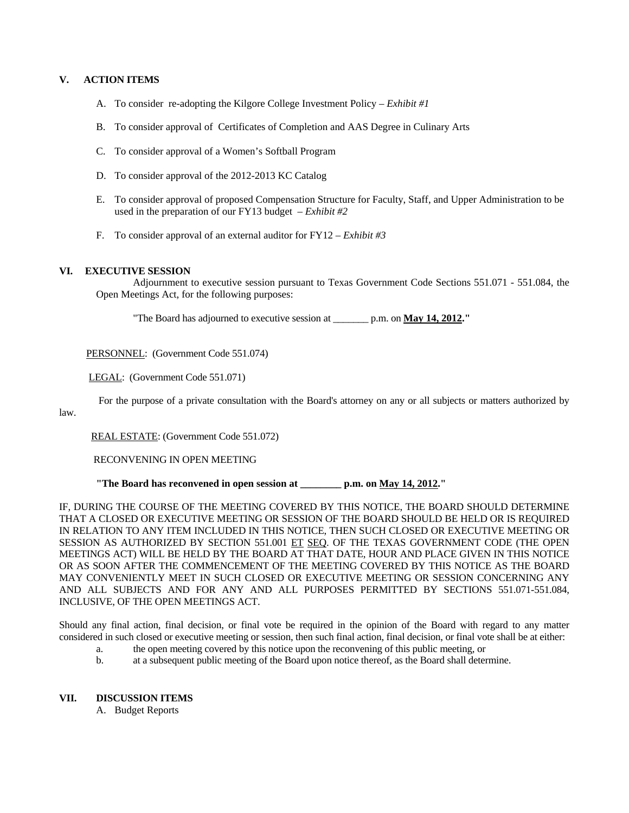# **V. ACTION ITEMS**

- A. To consider re-adopting the Kilgore College Investment Policy *Exhibit #1*
- B. To consider approval of Certificates of Completion and AAS Degree in Culinary Arts
- C. To consider approval of a Women's Softball Program
- D. To consider approval of the 2012-2013 KC Catalog
- E. To consider approval of proposed Compensation Structure for Faculty, Staff, and Upper Administration to be used in the preparation of our FY13 budget – *Exhibit #2*
- F. To consider approval of an external auditor for FY12 *Exhibit #3*

# **VI. EXECUTIVE SESSION**

law.

 Adjournment to executive session pursuant to Texas Government Code Sections 551.071 - 551.084, the Open Meetings Act, for the following purposes:

"The Board has adjourned to executive session at \_\_\_\_\_\_\_ p.m. on **May 14, 2012."** 

PERSONNEL: (Government Code 551.074)

LEGAL: (Government Code 551.071)

For the purpose of a private consultation with the Board's attorney on any or all subjects or matters authorized by

REAL ESTATE: (Government Code 551.072)

RECONVENING IN OPEN MEETING

#### **"The Board has reconvened in open session at \_\_\_\_\_\_\_\_ p.m. on May 14, 2012."**

IF, DURING THE COURSE OF THE MEETING COVERED BY THIS NOTICE, THE BOARD SHOULD DETERMINE THAT A CLOSED OR EXECUTIVE MEETING OR SESSION OF THE BOARD SHOULD BE HELD OR IS REQUIRED IN RELATION TO ANY ITEM INCLUDED IN THIS NOTICE, THEN SUCH CLOSED OR EXECUTIVE MEETING OR SESSION AS AUTHORIZED BY SECTION 551.001 ET SEQ. OF THE TEXAS GOVERNMENT CODE (THE OPEN MEETINGS ACT) WILL BE HELD BY THE BOARD AT THAT DATE, HOUR AND PLACE GIVEN IN THIS NOTICE OR AS SOON AFTER THE COMMENCEMENT OF THE MEETING COVERED BY THIS NOTICE AS THE BOARD MAY CONVENIENTLY MEET IN SUCH CLOSED OR EXECUTIVE MEETING OR SESSION CONCERNING ANY AND ALL SUBJECTS AND FOR ANY AND ALL PURPOSES PERMITTED BY SECTIONS 551.071-551.084, INCLUSIVE, OF THE OPEN MEETINGS ACT.

Should any final action, final decision, or final vote be required in the opinion of the Board with regard to any matter considered in such closed or executive meeting or session, then such final action, final decision, or final vote shall be at either:

- a. the open meeting covered by this notice upon the reconvening of this public meeting, or
- b. at a subsequent public meeting of the Board upon notice thereof, as the Board shall determine.

#### **VII. DISCUSSION ITEMS**

A. Budget Reports